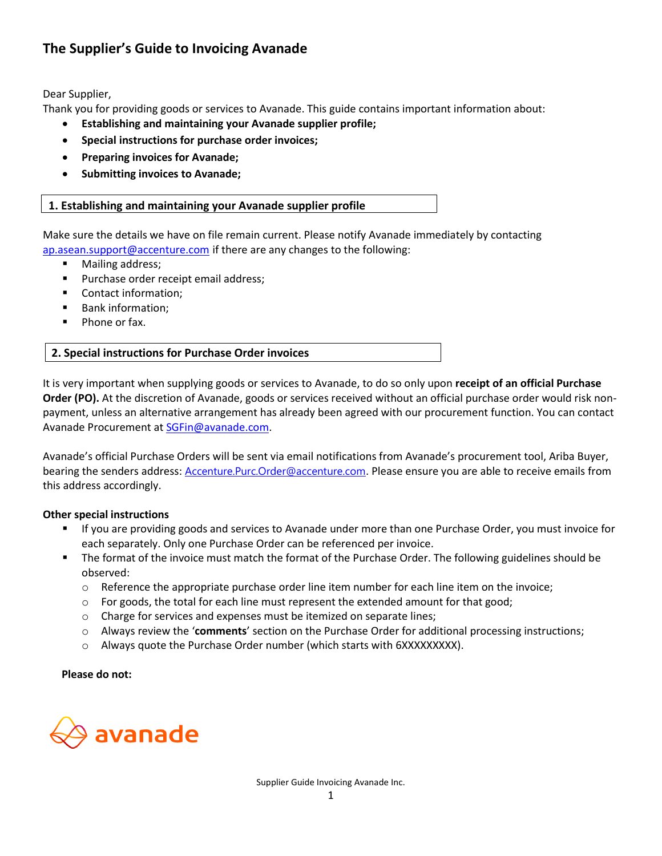# **The Supplier's Guide to Invoicing Avanade**

Dear Supplier,

Thank you for providing goods or services to Avanade. This guide contains important information about:

- **Establishing and maintaining your Avanade supplier profile;**
- **Special instructions for purchase order invoices;**
- **Preparing invoices for Avanade;**
- **Submitting invoices to Avanade;**

# **1. Establishing and maintaining your Avanade supplier profile**

Make sure the details we have on file remain current. Please notify Avanade immediately by contacting [ap.asean.support@accenture.com](mailto:ap.asean.support@accenture.com) if there are any changes to the following:

- Mailing address;
- Purchase order receipt email address;
- Contact information;
- Bank information;
- Phone or fax.

It is very important when supplying goods or services to Avanade, to do so only upon **receipt of an official Purchase Order (PO).** At the discretion of Avanade, goods or services received without an official purchase order would risk nonpayment, unless an alternative arrangement has already been agreed with our procurement function. You can contact Avanade Procurement a[t SGFin@avanade.com.](mailto:SGFin@avanade.com)

Avanade's official Purchase Orders will be sent via email notifications from Avanade's procurement tool, Ariba Buyer, bearing the senders address: [Accenture.Purc.Order@accenture.com](mailto:Accenture.Purc.Order@accenture.com). Please ensure you are able to receive emails from this address accordingly.

## **Other special instructions**

- If you are providing goods and services to Avanade under more than one Purchase Order, you must invoice for each separately. Only one Purchase Order can be referenced per invoice.
- The format of the invoice must match the format of the Purchase Order. The following guidelines should be observed:
	- $\circ$  Reference the appropriate purchase order line item number for each line item on the invoice;
	- $\circ$  For goods, the total for each line must represent the extended amount for that good;
	- o Charge for services and expenses must be itemized on separate lines;
	- o Always review the '**comments**' section on the Purchase Order for additional processing instructions;
	- o Always quote the Purchase Order number (which starts with 6XXXXXXXXX).

 **Please do not:** 

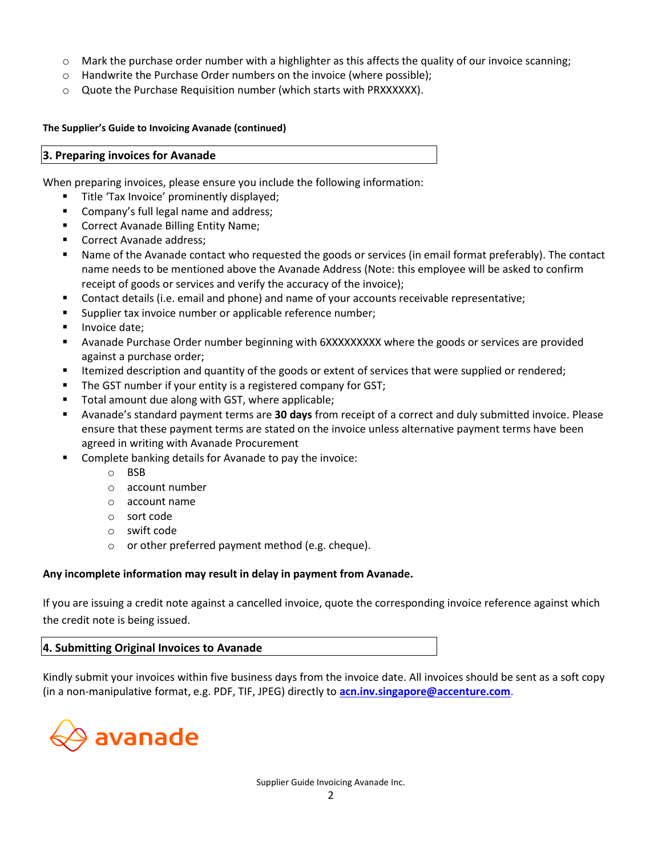- $\circ$  Mark the purchase order number with a highlighter as this affects the quality of our invoice scanning;
- o Handwrite the Purchase Order numbers on the invoice (where possible);
- o Quote the Purchase Requisition number (which starts with PRXXXXXX).

#### **The Supplier's Guide to Invoicing Avanade (continued)**

#### **3. Preparing invoices for Avanade**

When preparing invoices, please ensure you include the following information:

- **■** Title 'Tax Invoice' prominently displayed;
- Company's full legal name and address;
- Correct Avanade Billing Entity Name;
- Correct Avanade address;
- Name of the Avanade contact who requested the goods or services (in email format preferably). The contact name needs to be mentioned above the Avanade Address (Note: this employee will be asked to confirm receipt of goods or services and verify the accuracy of the invoice);
- Contact details (i.e. email and phone) and name of your accounts receivable representative;
- Supplier tax invoice number or applicable reference number;
- Invoice date;
- Avanade Purchase Order number beginning with 6XXXXXXXXX where the goods or services are provided against a purchase order;
- **■** Itemized description and quantity of the goods or extent of services that were supplied or rendered;
- The GST number if your entity is a registered company for GST;
- Total amount due along with GST, where applicable;
- Avanade's standard payment terms are **30 days** from receipt of a correct and duly submitted invoice. Please ensure that these payment terms are stated on the invoice unless alternative payment terms have been agreed in writing with Avanade Procurement
- Complete banking details for Avanade to pay the invoice:
	- o BSB
	- o account number
	- o account name
	- o sort code
	- o swift code
	- o or other preferred payment method (e.g. cheque).

## **Any incomplete information may result in delay in payment from Avanade.**

If you are issuing a credit note against a cancelled invoice, quote the corresponding invoice reference against which the credit note is being issued.

## **4. Submitting Original Invoices to Avanade**

Kindly submit your invoices within five business days from the invoice date. All invoices should be sent as a soft copy (in a non-manipulative format, e.g. PDF, TIF, JPEG) directly to **[acn.inv.singapore@accenture.com](mailto:acn.inv.singapore@accenture.com)**.